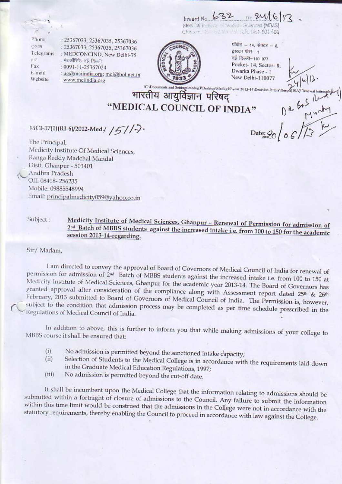Inward No. 632 0.24 MedCiti institution of Northerl Sciences (MIMS Chances to British M LR Disk-501 401

Phone दरनाम Telegrams तार Fax E-mail Website

: 25367033, 25367035, 25367036 : 25367033, 25367035, 25367036 : MEDCONCIND, New Delhi-75 मेडकॉसिंड नई दिल्ली : 0091-11-25367024 : ug@mciindia.org; mci@bol.net.in : www.mciindia.org



पॉकेट - 14, सेक्टर - 8, द्वारका फेस- 1 नई दिल्ली-110 077 Pocket-14, Sector-8. Dwarka Phase - 1 New Delhi-110077

**CODocuments and SettingsVmedug3\Desktop\Medug10\year 2013-14\Decision letters\Deeph(10A)\Ren CADocuments** and A" DR 625 Reddy

"MEDICAL COUNCIL OF INDIA"

## MCI-37(1)(RI-6)/2012-Med./ /5//-

The Principal. Medicity Institute Of Medical Sciences, Ranga Reddy Madchal Mandal Distt. Ghanpur - 501401 Andhra Pradesh Off: 08418-256235 Mobile: 09885548994 Email: principalmedicity059@yahoo.co.in

Medicity Institute of Medical Sciences, Ghanpur - Renewal of Permission for admission of Subject: 2nd Batch of MBBS students against the increased intake i.e. from 100 to 150 for the academic session 2013-14-regarding.

## Sir/ Madam,

I am directed to convey the approval of Board of Governors of Medical Council of India for renewal of permission for admission of 2<sup>nd</sup> Batch of MBBS students against the increased intake i.e. from 100 to 150 at Medicity Institute of Medical Sciences, Ghanpur for the academic year 2013-14. The Board of Governors has granted approval after consideration of the compliance along with Assessment report dated 25<sup>th</sup> & 26<sup>th</sup> February, 2013 submitted to Board of Governors of Medical Council of India. The Permission is, however, subject to the condition that admission process may be completed as per time schedule prescribed in the Regulations of Medical Council of India.

In addition to above, this is further to inform you that while making admissions of your college to MBBS course it shall be ensured that:

- No admission is permitted beyond the sanctioned intake capacity;  $(i)$
- Selection of Students to the Medical College is in accordance with the requirements laid down  $(ii)$ in the Graduate Medical Education Regulations, 1997;
- $(iii)$ No admission is permitted beyond the cut-off date.

It shall be incumbent upon the Medical College that the information relating to admissions should be submitted within a fortnight of closure of admissions to the Council. Any failure to submit the information within this time limit would be construed that the admissions in the College were not in accordance with the statutory requirements, thereby enabling the Council to proceed in accordance with law against the College.